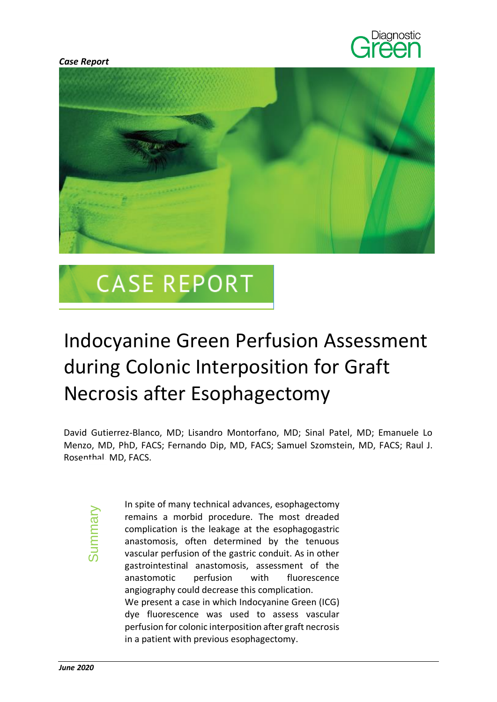



# **CASE REPORT**

## Indocyanine Green Perfusion Assessment during Colonic Interposition for Graft Necrosis after Esophagectomy

David Gutierrez-Blanco, MD; Lisandro Montorfano, MD; Sinal Patel, MD; Emanuele Lo Menzo, MD, PhD, FACS; Fernando Dip, MD, FACS; Samuel Szomstein, MD, FACS; Raul J. Rosenthal, MD, FACS.

Summary

In spite of many technical advances, esophagectomy remains a morbid procedure. The most dreaded complication is the leakage at the esophagogastric anastomosis, often determined by the tenuous vascular perfusion of the gastric conduit. As in other gastrointestinal anastomosis, assessment of the anastomotic perfusion with fluorescence angiography could decrease this complication. We present a case in which Indocyanine Green (ICG) dye fluorescence was used to assess vascular perfusion for colonic interposition after graft necrosis in a patient with previous esophagectomy.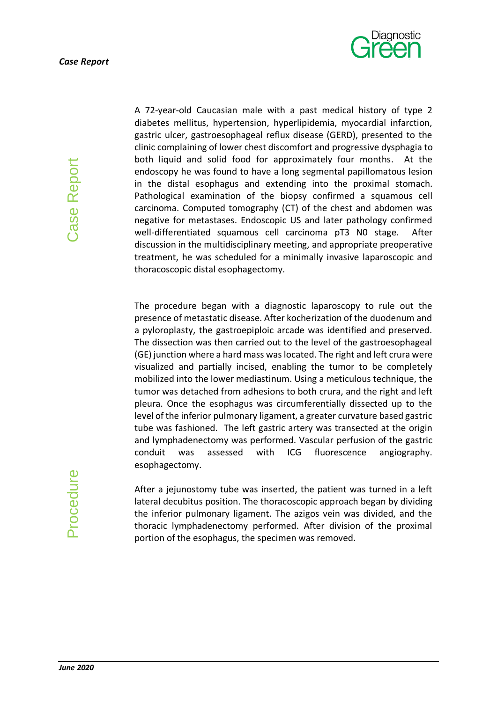

A 72-year-old Caucasian male with a past medical history of type 2 diabetes mellitus, hypertension, hyperlipidemia, myocardial infarction, gastric ulcer, gastroesophageal reflux disease (GERD), presented to the clinic complaining of lower chest discomfort and progressive dysphagia to both liquid and solid food for approximately four months. At the endoscopy he was found to have a long segmental papillomatous lesion in the distal esophagus and extending into the proximal stomach. Pathological examination of the biopsy confirmed a squamous cell carcinoma. Computed tomography (CT) of the chest and abdomen was negative for metastases. Endoscopic US and later pathology confirmed well-differentiated squamous cell carcinoma pT3 N0 stage. After discussion in the multidisciplinary meeting, and appropriate preoperative treatment, he was scheduled for a minimally invasive laparoscopic and thoracoscopic distal esophagectomy.

The procedure began with a diagnostic laparoscopy to rule out the presence of metastatic disease. After kocherization of the duodenum and a pyloroplasty, the gastroepiploic arcade was identified and preserved. The dissection was then carried out to the level of the gastroesophageal (GE) junction where a hard mass was located. The right and left crura were visualized and partially incised, enabling the tumor to be completely mobilized into the lower mediastinum. Using a meticulous technique, the tumor was detached from adhesions to both crura, and the right and left pleura. Once the esophagus was circumferentially dissected up to the level of the inferior pulmonary ligament, a greater curvature based gastric tube was fashioned. The left gastric artery was transected at the origin and lymphadenectomy was performed. Vascular perfusion of the gastric conduit was assessed with ICG fluorescence angiography. esophagectomy.

After a jejunostomy tube was inserted, the patient was turned in a left lateral decubitus position. The thoracoscopic approach began by dividing the inferior pulmonary ligament. The azigos vein was divided, and the thoracic lymphadenectomy performed. After division of the proximal portion of the esophagus, the specimen was removed.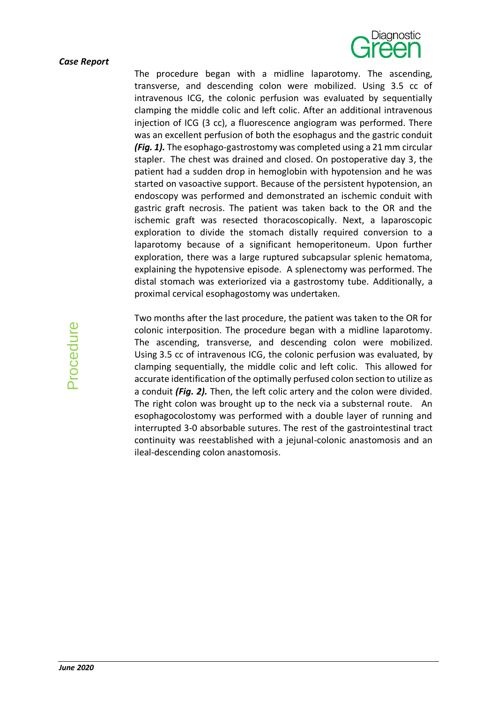#### *Case Report*



The procedure began with a midline laparotomy. The ascending, transverse, and descending colon were mobilized. Using 3.5 cc of intravenous ICG, the colonic perfusion was evaluated by sequentially clamping the middle colic and left colic. After an additional intravenous injection of ICG (3 cc), a fluorescence angiogram was performed. There was an excellent perfusion of both the esophagus and the gastric conduit *(Fig. 1).* The esophago-gastrostomy was completed using a 21 mm circular stapler. The chest was drained and closed. On postoperative day 3, the patient had a sudden drop in hemoglobin with hypotension and he was started on vasoactive support. Because of the persistent hypotension, an endoscopy was performed and demonstrated an ischemic conduit with gastric graft necrosis. The patient was taken back to the OR and the ischemic graft was resected thoracoscopically. Next, a laparoscopic exploration to divide the stomach distally required conversion to a laparotomy because of a significant hemoperitoneum. Upon further exploration, there was a large ruptured subcapsular splenic hematoma, explaining the hypotensive episode. A splenectomy was performed. The distal stomach was exteriorized via a gastrostomy tube. Additionally, a proximal cervical esophagostomy was undertaken.

Two months after the last procedure, the patient was taken to the OR for colonic interposition. The procedure began with a midline laparotomy. The ascending, transverse, and descending colon were mobilized. Using 3.5 cc of intravenous ICG, the colonic perfusion was evaluated, by clamping sequentially, the middle colic and left colic. This allowed for accurate identification of the optimally perfused colon section to utilize as a conduit *(Fig. 2).* Then, the left colic artery and the colon were divided. The right colon was brought up to the neck via a substernal route. An esophagocolostomy was performed with a double layer of running and interrupted 3-0 absorbable sutures. The rest of the gastrointestinal tract continuity was reestablished with a jejunal-colonic anastomosis and an ileal-descending colon anastomosis.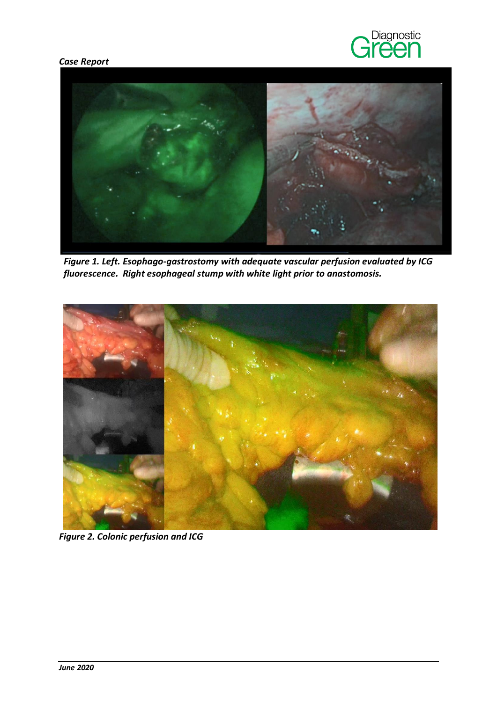### *Case Report*





*Figure 1. Left. Esophago-gastrostomy with adequate vascular perfusion evaluated by ICG fluorescence. Right esophageal stump with white light prior to anastomosis.*



*Figure 2. Colonic perfusion and ICG*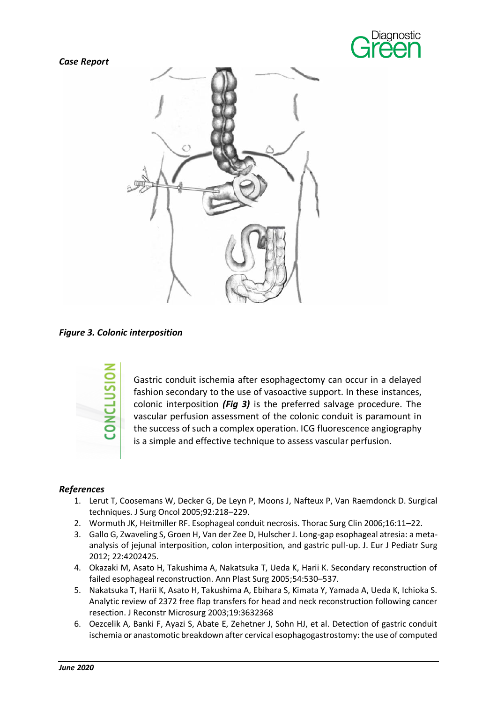





*Figure 3. Colonic interposition*



Gastric conduit ischemia after esophagectomy can occur in a delayed fashion secondary to the use of vasoactive support. In these instances, colonic interposition *(Fig 3)* is the preferred salvage procedure. The vascular perfusion assessment of the colonic conduit is paramount in the success of such a complex operation. ICG fluorescence angiography is a simple and effective technique to assess vascular perfusion.

### *References*

- 1. Lerut T, Coosemans W, Decker G, De Leyn P, Moons J, Nafteux P, Van Raemdonck D. Surgical techniques. J Surg Oncol 2005;92:218–229.
- 2. Wormuth JK, Heitmiller RF. Esophageal conduit necrosis. Thorac Surg Clin 2006;16:11–22.
- 3. Gallo G, Zwaveling S, Groen H, Van der Zee D, Hulscher J. Long-gap esophageal atresia: a metaanalysis of jejunal interposition, colon interposition, and gastric pull-up. J. Eur J Pediatr Surg 2012; 22:4202425.
- 4. Okazaki M, Asato H, Takushima A, Nakatsuka T, Ueda K, Harii K. Secondary reconstruction of failed esophageal reconstruction. Ann Plast Surg 2005;54:530–537.
- 5. Nakatsuka T, Harii K, Asato H, Takushima A, Ebihara S, Kimata Y, Yamada A, Ueda K, Ichioka S. Analytic review of 2372 free flap transfers for head and neck reconstruction following cancer resection. J Reconstr Microsurg 2003;19:3632368
- 6. Oezcelik A, Banki F, Ayazi S, Abate E, Zehetner J, Sohn HJ, et al. Detection of gastric conduit ischemia or anastomotic breakdown after cervical esophagogastrostomy: the use of computed